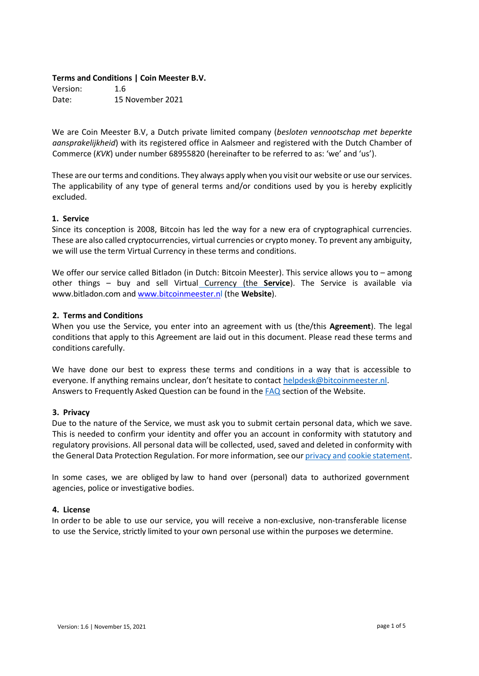#### **Terms and Conditions | Coin Meester B.V.**

Version: 1.6 Date: 15 November 2021

We are Coin Meester B.V, a Dutch private limited company (*besloten vennootschap met beperkte aansprakelijkheid*) with its registered office in Aalsmeer and registered with the Dutch Chamber of Commerce (*KVK*) under number 68955820 (hereinafter to be referred to as: 'we' and 'us').

These are our terms and conditions. They always apply when you visit our website or use our services. The applicability of any type of general terms and/or conditions used by you is hereby explicitly excluded.

#### **1. Service**

Since its conception is 2008, Bitcoin has led the way for a new era of cryptographical currencies. These are also called cryptocurrencies, virtual currencies or crypto money. To prevent any ambiguity, we will use the term Virtual Currency in these terms and conditions.

We offer our service called Bitladon (in Dutch: Bitcoin Meester). This service allows you to – among other things – buy and sell Virtual Currency (the **Service**). The Service is available via www.bitladon.com an[d www.bitcoinmeester.n](http://www.bitcoinmeester.n/)[l](http://www.bitcoinmeester.nl/) (the **Website**).

#### **2. Terms and Conditions**

When you use the Service, you enter into an agreement with us (the/this **Agreement**). The legal conditions that apply to this Agreement are laid out in this document. Please read these terms and conditions carefully.

We have done our best to express these terms and conditions in a way that is accessible to everyone. If anything remains unclear, don't hesitate to contact [helpdesk@bitcoinmeester.nl.](mailto:helpdesk@bitcoinmeester.nl) Answers to Frequently Asked Question can be found in the [FAQ](https://www.bitcoinmeester.nl/veelgestelde-vragen) section of the Website.

#### **3. Privacy**

Due to the nature of the Service, we must ask you to submit certain personal data, which we save. This is needed to confirm your identity and offer you an account in conformity with statutory and regulatory provisions. All personal data will be collected, used, saved and deleted in conformity with the General Data Protection Regulation. For more information, see our privacy and cookie statemen[t.](https://www.bitcoinmeester.nl/privacy-policy)

In some cases, we are obliged by law to hand over (personal) data to authorized government agencies, police or investigative bodies.

#### **4. License**

In order to be able to use our service, you will receive a non-exclusive, non-transferable license to use the Service, strictly limited to your own personal use within the purposes we determine.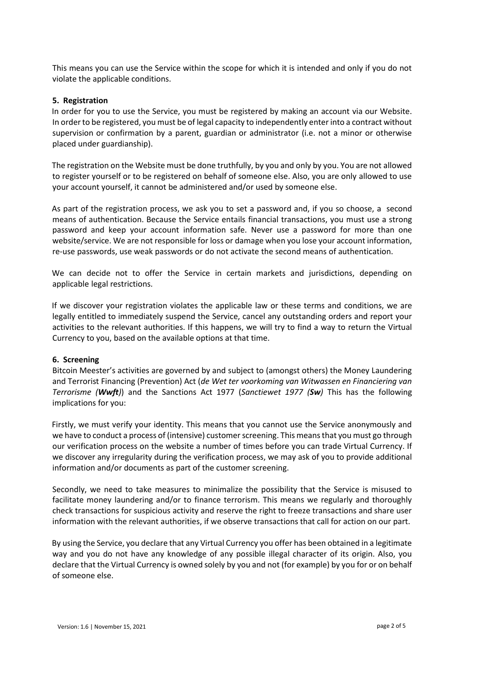This means you can use the Service within the scope for which it is intended and only if you do not violate the applicable conditions.

#### **5. Registration**

In order for you to use the Service, you must be registered by making an account via our Website. In order to be registered, you must be of legal capacity to independently enter into a contract without supervision or confirmation by a parent, guardian or administrator (i.e. not a minor or otherwise placed under guardianship).

The registration on the Website must be done truthfully, by you and only by you. You are not allowed to register yourself or to be registered on behalf of someone else. Also, you are only allowed to use your account yourself, it cannot be administered and/or used by someone else.

As part of the registration process, we ask you to set a password and, if you so choose, a second means of authentication. Because the Service entails financial transactions, you must use a strong password and keep your account information safe. Never use a password for more than one website/service. We are not responsible for loss or damage when you lose your account information, re-use passwords, use weak passwords or do not activate the second means of authentication.

We can decide not to offer the Service in certain markets and jurisdictions, depending on applicable legal restrictions.

If we discover your registration violates the applicable law or these terms and conditions, we are legally entitled to immediately suspend the Service, cancel any outstanding orders and report your activities to the relevant authorities. If this happens, we will try to find a way to return the Virtual Currency to you, based on the available options at that time.

## **6. Screening**

Bitcoin Meester's activities are governed by and subject to (amongst others) the Money Laundering and Terrorist Financing (Prevention) Act (*de Wet ter voorkoming van Witwassen en Financiering van Terrorisme (Wwft)*) and the Sanctions Act 1977 (*Sanctiewet 1977 (Sw)* This has the following implications for you:

Firstly, we must verify your identity. This means that you cannot use the Service anonymously and we have to conduct a process of (intensive) customer screening. This means that you must go through our verification process on the website a number of times before you can trade Virtual Currency. If we discover any irregularity during the verification process, we may ask of you to provide additional information and/or documents as part of the customer screening.

Secondly, we need to take measures to minimalize the possibility that the Service is misused to facilitate money laundering and/or to finance terrorism. This means we regularly and thoroughly check transactions for suspicious activity and reserve the right to freeze transactions and share user information with the relevant authorities, if we observe transactions that call for action on our part.

By using the Service, you declare that any Virtual Currency you offer has been obtained in a legitimate way and you do not have any knowledge of any possible illegal character of its origin. Also, you declare that the Virtual Currency is owned solely by you and not (for example) by you for or on behalf of someone else.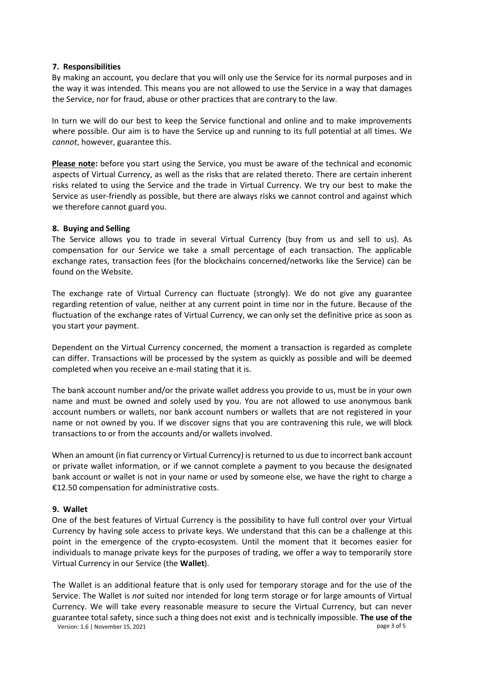#### **7. Responsibilities**

By making an account, you declare that you will only use the Service for its normal purposes and in the way it was intended. This means you are not allowed to use the Service in a way that damages the Service, nor for fraud, abuse or other practices that are contrary to the law.

In turn we will do our best to keep the Service functional and online and to make improvements where possible. Our aim is to have the Service up and running to its full potential at all times. We *cannot*, however, guarantee this.

**Please note:** before you start using the Service, you must be aware of the technical and economic aspects of Virtual Currency, as well as the risks that are related thereto. There are certain inherent risks related to using the Service and the trade in Virtual Currency. We try our best to make the Service as user-friendly as possible, but there are always risks we cannot control and against which we therefore cannot guard you.

## **8. Buying and Selling**

The Service allows you to trade in several Virtual Currency (buy from us and sell to us). As compensation for our Service we take a small percentage of each transaction. The applicable exchange rates, transaction fees (for the blockchains concerned/networks like the Service) can be found on the Website.

The exchange rate of Virtual Currency can fluctuate (strongly). We do not give any guarantee regarding retention of value, neither at any current point in time nor in the future. Because of the fluctuation of the exchange rates of Virtual Currency, we can only set the definitive price as soon as you start your payment.

Dependent on the Virtual Currency concerned, the moment a transaction is regarded as complete can differ. Transactions will be processed by the system as quickly as possible and will be deemed completed when you receive an e-mail stating that it is.

The bank account number and/or the private wallet address you provide to us, must be in your own name and must be owned and solely used by you. You are not allowed to use anonymous bank account numbers or wallets, nor bank account numbers or wallets that are not registered in your name or not owned by you. If we discover signs that you are contravening this rule, we will block transactions to or from the accounts and/or wallets involved.

When an amount (in fiat currency or Virtual Currency) is returned to us due to incorrect bank account or private wallet information, or if we cannot complete a payment to you because the designated bank account or wallet is not in your name or used by someone else, we have the right to charge a €12.50 compensation for administrative costs.

## **9. Wallet**

One of the best features of Virtual Currency is the possibility to have full control over your Virtual Currency by having sole access to private keys. We understand that this can be a challenge at this point in the emergence of the crypto-ecosystem. Until the moment that it becomes easier for individuals to manage private keys for the purposes of trading, we offer a way to temporarily store Virtual Currency in our Service (the **Wallet**).

Version: 1.6 | November 15, 2021 **page 3 of 5** and the US and the US and the US and the US and the US and the US and the US and the US and the US and the US and the US and the US and the US and the US and the US and the US The Wallet is an additional feature that is only used for temporary storage and for the use of the Service. The Wallet is *not* suited nor intended for long term storage or for large amounts of Virtual Currency. We will take every reasonable measure to secure the Virtual Currency, but can never guarantee total safety, since such a thing does not exist and is technically impossible. **The use of the**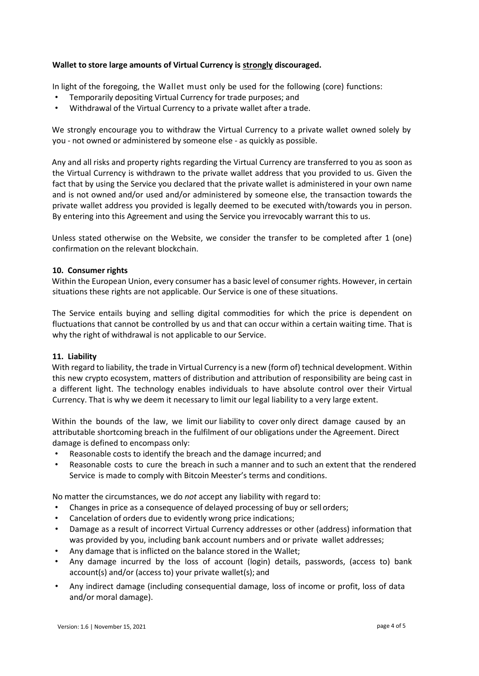# **Wallet to store large amounts of Virtual Currency is strongly discouraged.**

In light of the foregoing, the Wallet must only be used for the following (core) functions:

- Temporarily depositing Virtual Currency for trade purposes; and
- Withdrawal of the Virtual Currency to a private wallet after a trade.

We strongly encourage you to withdraw the Virtual Currency to a private wallet owned solely by you - not owned or administered by someone else - as quickly as possible.

Any and all risks and property rights regarding the Virtual Currency are transferred to you as soon as the Virtual Currency is withdrawn to the private wallet address that you provided to us. Given the fact that by using the Service you declared that the private wallet is administered in your own name and is not owned and/or used and/or administered by someone else, the transaction towards the private wallet address you provided is legally deemed to be executed with/towards you in person. By entering into this Agreement and using the Service you irrevocably warrant this to us.

Unless stated otherwise on the Website, we consider the transfer to be completed after 1 (one) confirmation on the relevant blockchain.

## **10. Consumer rights**

Within the European Union, every consumer has a basic level of consumer rights. However, in certain situations these rights are not applicable. Our Service is one of these situations.

The Service entails buying and selling digital commodities for which the price is dependent on fluctuations that cannot be controlled by us and that can occur within a certain waiting time. That is why the right of withdrawal is not applicable to our Service.

## **11. Liability**

With regard to liability, the trade in Virtual Currency is a new (form of) technical development. Within this new crypto ecosystem, matters of distribution and attribution of responsibility are being cast in a different light. The technology enables individuals to have absolute control over their Virtual Currency. That is why we deem it necessary to limit our legal liability to a very large extent.

Within the bounds of the law, we limit our liability to cover only direct damage caused by an attributable shortcoming breach in the fulfilment of our obligations under the Agreement. Direct damage is defined to encompass only:

- Reasonable costs to identify the breach and the damage incurred; and
- Reasonable costs to cure the breach in such a manner and to such an extent that the rendered Service is made to comply with Bitcoin Meester's terms and conditions.

No matter the circumstances, we do *not* accept any liability with regard to:

- Changes in price as a consequence of delayed processing of buy or sell orders;
- Cancelation of orders due to evidently wrong price indications;
- Damage as a result of incorrect Virtual Currency addresses or other (address) information that was provided by you, including bank account numbers and or private wallet addresses;
- Any damage that is inflicted on the balance stored in the Wallet;
- Any damage incurred by the loss of account (login) details, passwords, (access to) bank account(s) and/or (access to) your private wallet(s); and
- Any indirect damage (including consequential damage, loss of income or profit, loss of data and/or moral damage).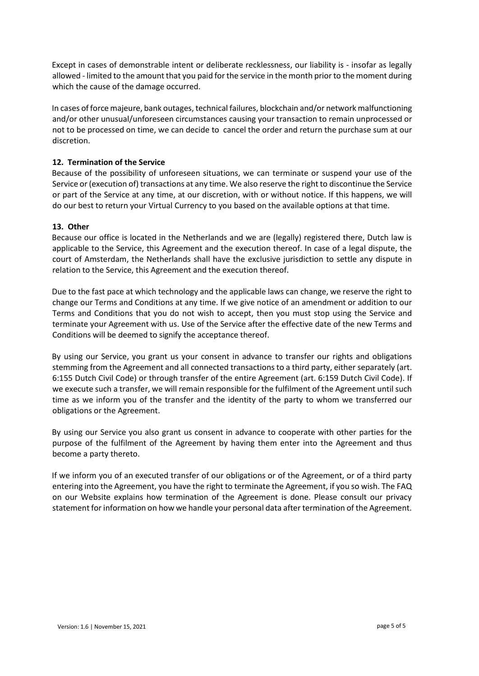Except in cases of demonstrable intent or deliberate recklessness, our liability is - insofar as legally allowed - limited to the amount that you paid for the service in the month prior to the moment during which the cause of the damage occurred.

In cases of force majeure, bank outages, technical failures, blockchain and/or network malfunctioning and/or other unusual/unforeseen circumstances causing your transaction to remain unprocessed or not to be processed on time, we can decide to cancel the order and return the purchase sum at our discretion.

# **12. Termination of the Service**

Because of the possibility of unforeseen situations, we can terminate or suspend your use of the Service or (execution of) transactions at any time. We also reserve the right to discontinue the Service or part of the Service at any time, at our discretion, with or without notice. If this happens, we will do our best to return your Virtual Currency to you based on the available options at that time.

## **13. Other**

Because our office is located in the Netherlands and we are (legally) registered there, Dutch law is applicable to the Service, this Agreement and the execution thereof. In case of a legal dispute, the court of Amsterdam, the Netherlands shall have the exclusive jurisdiction to settle any dispute in relation to the Service, this Agreement and the execution thereof.

Due to the fast pace at which technology and the applicable laws can change, we reserve the right to change our Terms and Conditions at any time. If we give notice of an amendment or addition to our Terms and Conditions that you do not wish to accept, then you must stop using the Service and terminate your Agreement with us. Use of the Service after the effective date of the new Terms and Conditions will be deemed to signify the acceptance thereof.

By using our Service, you grant us your consent in advance to transfer our rights and obligations stemming from the Agreement and all connected transactions to a third party, either separately (art. 6:155 Dutch Civil Code) or through transfer of the entire Agreement (art. 6:159 Dutch Civil Code). If we execute such a transfer, we will remain responsible for the fulfilment of the Agreement until such time as we inform you of the transfer and the identity of the party to whom we transferred our obligations or the Agreement.

By using our Service you also grant us consent in advance to cooperate with other parties for the purpose of the fulfilment of the Agreement by having them enter into the Agreement and thus become a party thereto.

If we inform you of an executed transfer of our obligations or of the Agreement, or of a third party entering into the Agreement, you have the right to terminate the Agreement, if you so wish. The FAQ on our Website explains how termination of the Agreement is done. Please consult our privacy statement for information on how we handle your personal data after termination of the Agreement.